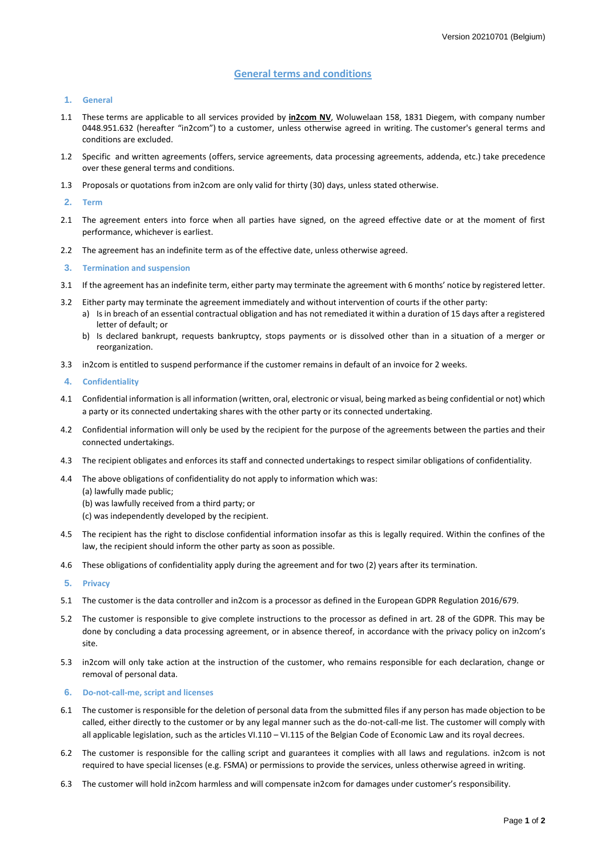# **General terms and conditions**

# **1. General**

- 1.1 These terms are applicable to all services provided by **in2com NV**, Woluwelaan 158, 1831 Diegem, with company number 0448.951.632 (hereafter "in2com") to a customer, unless otherwise agreed in writing. The customer's general terms and conditions are excluded.
- 1.2 Specific and written agreements (offers, service agreements, data processing agreements, addenda, etc.) take precedence over these general terms and conditions.
- 1.3 Proposals or quotations from in2com are only valid for thirty (30) days, unless stated otherwise.

**2. Term**

- 2.1 The agreement enters into force when all parties have signed, on the agreed effective date or at the moment of first performance, whichever is earliest.
- 2.2 The agreement has an indefinite term as of the effective date, unless otherwise agreed.
- **3. Termination and suspension**
- 3.1 If the agreement has an indefinite term, either party may terminate the agreement with 6 months' notice by registered letter.
- 3.2 Either party may terminate the agreement immediately and without intervention of courts if the other party:
	- a) Is in breach of an essential contractual obligation and has not remediated it within a duration of 15 days after a registered letter of default; or
	- b) Is declared bankrupt, requests bankruptcy, stops payments or is dissolved other than in a situation of a merger or reorganization.
- 3.3 in2com is entitled to suspend performance if the customer remains in default of an invoice for 2 weeks.
- **4. Confidentiality**
- 4.1 Confidential information is all information (written, oral, electronic or visual, being marked as being confidential or not) which a party or its connected undertaking shares with the other party or its connected undertaking.
- 4.2 Confidential information will only be used by the recipient for the purpose of the agreements between the parties and their connected undertakings.
- 4.3 The recipient obligates and enforces its staff and connected undertakings to respect similar obligations of confidentiality.
- 4.4 The above obligations of confidentiality do not apply to information which was:
	- (a) lawfully made public;
		- (b) was lawfully received from a third party; or
		- (c) was independently developed by the recipient.
- 4.5 The recipient has the right to disclose confidential information insofar as this is legally required. Within the confines of the law, the recipient should inform the other party as soon as possible.
- 4.6 These obligations of confidentiality apply during the agreement and for two (2) years after its termination.

# **5. Privacy**

- 5.1 The customer is the data controller and in2com is a processor as defined in the European GDPR Regulation 2016/679.
- 5.2 The customer is responsible to give complete instructions to the processor as defined in art. 28 of the GDPR. This may be done by concluding a data processing agreement, or in absence thereof, in accordance with the privacy policy on in2com's site.
- 5.3 in2com will only take action at the instruction of the customer, who remains responsible for each declaration, change or removal of personal data.

#### **6. Do-not-call-me, script and licenses**

- 6.1 The customer is responsible for the deletion of personal data from the submitted files if any person has made objection to be called, either directly to the customer or by any legal manner such as the do-not-call-me list. The customer will comply with all applicable legislation, such as the articles VI.110 – VI.115 of the Belgian Code of Economic Law and its royal decrees.
- 6.2 The customer is responsible for the calling script and guarantees it complies with all laws and regulations. in2com is not required to have special licenses (e.g. FSMA) or permissions to provide the services, unless otherwise agreed in writing.
- 6.3 The customer will hold in2com harmless and will compensate in2com for damages under customer's responsibility.